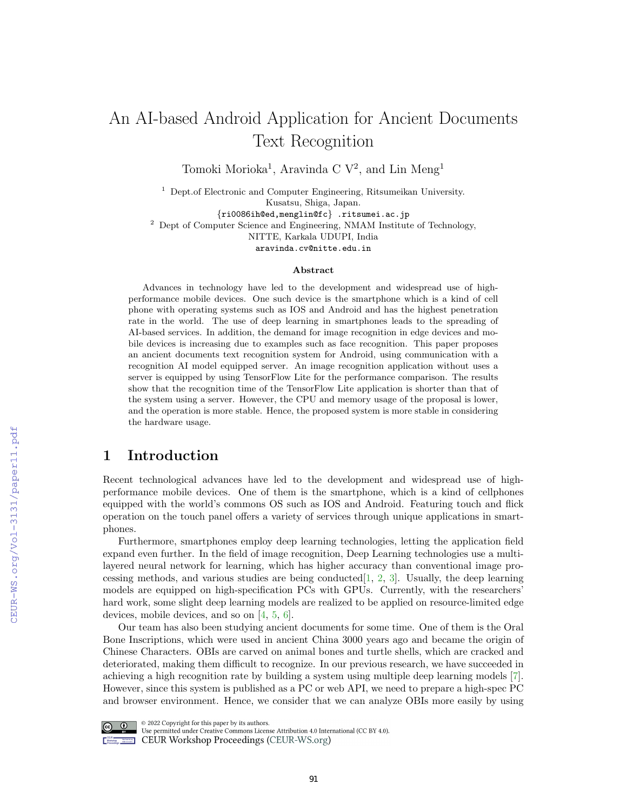# An AI-based Android Application for Ancient Documents Text Recognition

Tomoki Morioka<sup>1</sup>, Aravinda C  $V^2$ , and Lin Meng<sup>1</sup>

<sup>1</sup> Dept.of Electronic and Computer Engineering, Ritsumeikan University. Kusatsu, Shiga, Japan.

{ri0086ih@ed,menglin@fc} .ritsumei.ac.jp <sup>2</sup> Dept of Computer Science and Engineering, NMAM Institute of Technology, NITTE, Karkala UDUPI, India aravinda.cv@nitte.edu.in

#### Abstract

Advances in technology have led to the development and widespread use of highperformance mobile devices. One such device is the smartphone which is a kind of cell phone with operating systems such as IOS and Android and has the highest penetration rate in the world. The use of deep learning in smartphones leads to the spreading of AI-based services. In addition, the demand for image recognition in edge devices and mobile devices is increasing due to examples such as face recognition. This paper proposes an ancient documents text recognition system for Android, using communication with a recognition AI model equipped server. An image recognition application without uses a server is equipped by using TensorFlow Lite for the performance comparison. The results show that the recognition time of the TensorFlow Lite application is shorter than that of the system using a server. However, the CPU and memory usage of the proposal is lower, and the operation is more stable. Hence, the proposed system is more stable in considering the hardware usage.

# 1 Introduction

Recent technological advances have led to the development and widespread use of highperformance mobile devices. One of them is the smartphone, which is a kind of cellphones equipped with the world's commons OS such as IOS and Android. Featuring touch and flick operation on the touch panel offers a variety of services through unique applications in smartphones.

Furthermore, smartphones employ deep learning technologies, letting the application field expand even further. In the field of image recognition, Deep Learning technologies use a multilayered neural network for learning, which has higher accuracy than conventional image processing methods, and various studies are being conducted  $[1, 2, 3]$  $[1, 2, 3]$  $[1, 2, 3]$  $[1, 2, 3]$  $[1, 2, 3]$ . Usually, the deep learning models are equipped on high-specification PCs with GPUs. Currently, with the researchers' hard work, some slight deep learning models are realized to be applied on resource-limited edge devices, mobile devices, and so on [\[4,](#page--1-3) [5,](#page--1-4) [6\]](#page--1-5).

Our team has also been studying ancient documents for some time. One of them is the Oral Bone Inscriptions, which were used in ancient China 3000 years ago and became the origin of Chinese Characters. OBIs are carved on animal bones and turtle shells, which are cracked and deteriorated, making them difficult to recognize. In our previous research, we have succeeded in achieving a high recognition rate by building a system using multiple deep learning models [\[7\]](#page--1-6). However, since this system is published as a PC or web API, we need to prepare a high-spec PC and browser environment. Hence, we consider that we can analyze OBIs more easily by using



© 2022 Copyright for this paper by its authors.

Use permitted under Creative Commons License Attribution 4.0 International (CC BY 4.0). **Example 2018** CEUR Workshop Proceedings (CEUR-WS.org)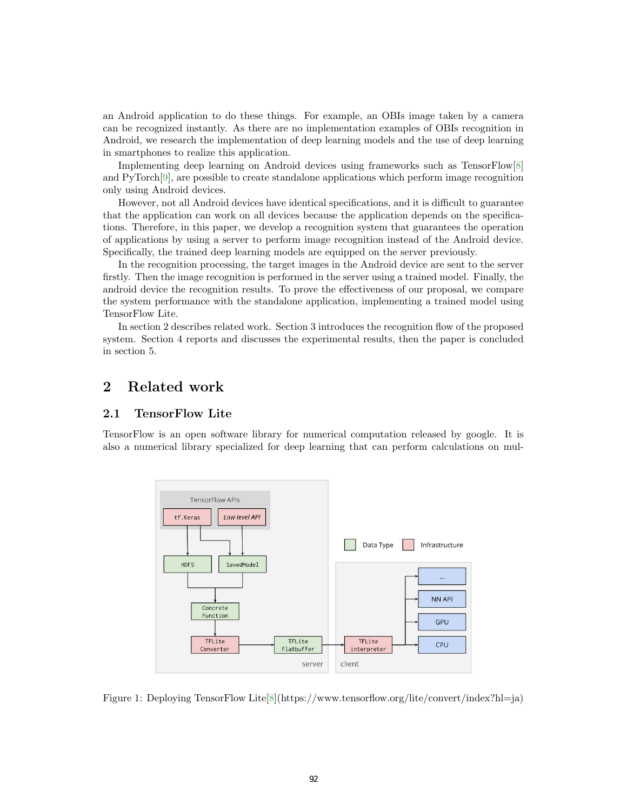an Android application to do these things. For example, an OBIs image taken by a camera can be recognized instantly. As there are no implementation examples of OBIs recognition in Android, we research the implementation of deep learning models and the use of deep learning in smartphones to realize this application.

Implementing deep learning on Android devices using frameworks such as TensorFlow[\[8\]](#page-7-0) and PyTorch[\[9\]](#page-7-1), are possible to create standalone applications which perform image recognition only using Android devices.

However, not all Android devices have identical specifications, and it is difficult to guarantee that the application can work on all devices because the application depends on the specifications. Therefore, in this paper, we develop a recognition system that guarantees the operation of applications by using a server to perform image recognition instead of the Android device. Specifically, the trained deep learning models are equipped on the server previously.

In the recognition processing, the target images in the Android device are sent to the server firstly. Then the image recognition is performed in the server using a trained model. Finally, the android device the recognition results. To prove the effectiveness of our proposal, we compare the system performance with the standalone application, implementing a trained model using TensorFlow Lite.

In section 2 describes related work. Section 3 introduces the recognition flow of the proposed system. Section 4 reports and discusses the experimental results, then the paper is concluded in section 5.

# 2 Related work

#### 2.1 TensorFlow Lite

TensorFlow is an open software library for numerical computation released by google. It is also a numerical library specialized for deep learning that can perform calculations on mul-



<span id="page-1-0"></span>Figure 1: Deploying TensorFlow Lite[\[8\]](#page-7-0)(https://www.tensorflow.org/lite/convert/index?hl=ja)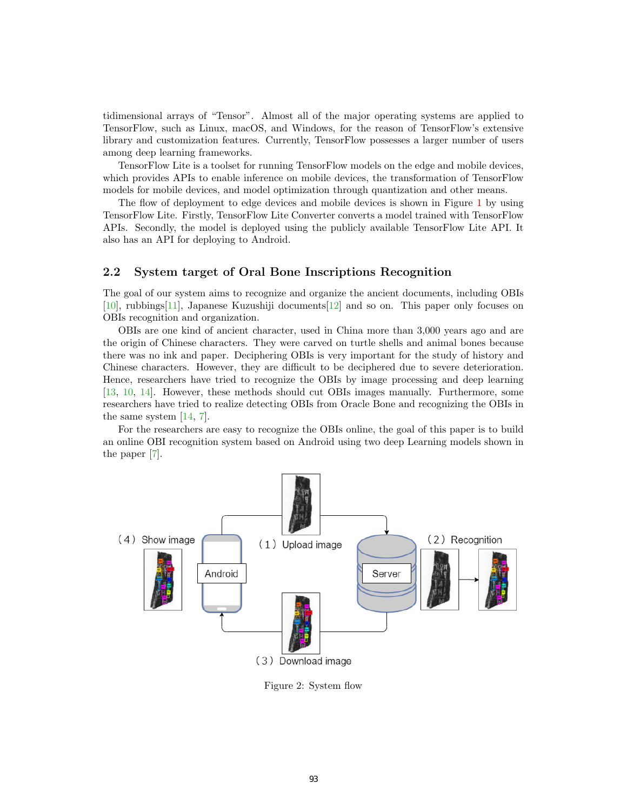tidimensional arrays of "Tensor". Almost all of the major operating systems are applied to TensorFlow, such as Linux, macOS, and Windows, for the reason of TensorFlow's extensive library and customization features. Currently, TensorFlow possesses a larger number of users among deep learning frameworks.

TensorFlow Lite is a toolset for running TensorFlow models on the edge and mobile devices, which provides APIs to enable inference on mobile devices, the transformation of TensorFlow models for mobile devices, and model optimization through quantization and other means.

The flow of deployment to edge devices and mobile devices is shown in Figure [1](#page-1-0) by using TensorFlow Lite. Firstly, TensorFlow Lite Converter converts a model trained with TensorFlow APIs. Secondly, the model is deployed using the publicly available TensorFlow Lite API. It also has an API for deploying to Android.

### 2.2 System target of Oral Bone Inscriptions Recognition

The goal of our system aims to recognize and organize the ancient documents, including OBIs [\[10\]](#page-7-2), rubbings[\[11\]](#page-7-3), Japanese Kuzushiji documents[\[12\]](#page-7-4) and so on. This paper only focuses on OBIs recognition and organization.

OBIs are one kind of ancient character, used in China more than 3,000 years ago and are the origin of Chinese characters. They were carved on turtle shells and animal bones because there was no ink and paper. Deciphering OBIs is very important for the study of history and Chinese characters. However, they are difficult to be deciphered due to severe deterioration. Hence, researchers have tried to recognize the OBIs by image processing and deep learning [\[13,](#page-7-5) [10,](#page-7-2) [14\]](#page-7-6). However, these methods should cut OBIs images manually. Furthermore, some researchers have tried to realize detecting OBIs from Oracle Bone and recognizing the OBIs in the same system [\[14,](#page-7-6) [7\]](#page-7-7).

For the researchers are easy to recognize the OBIs online, the goal of this paper is to build an online OBI recognition system based on Android using two deep Learning models shown in the paper [\[7\]](#page-7-7).



<span id="page-2-0"></span>Figure 2: System flow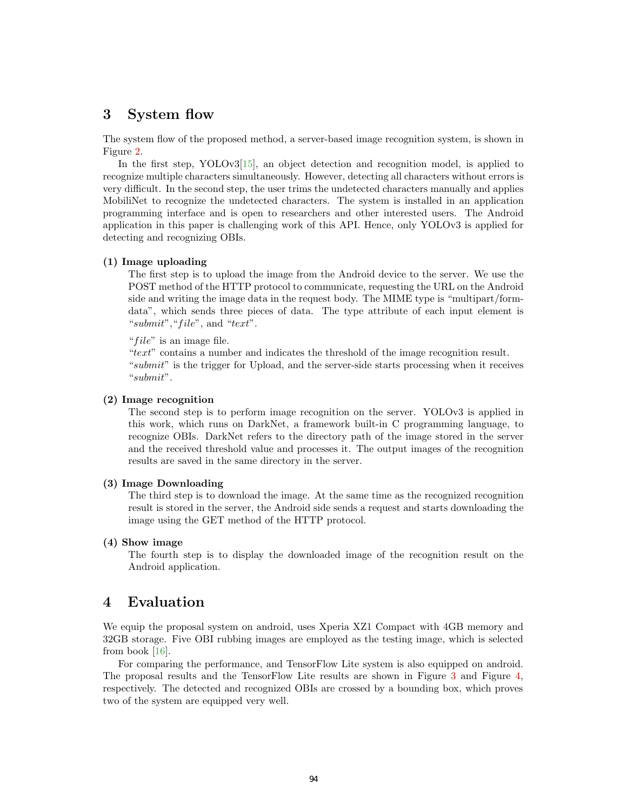# 3 System flow

The system flow of the proposed method, a server-based image recognition system, is shown in Figure [2.](#page-2-0)

In the first step, YOLOv3[\[15\]](#page-7-8), an object detection and recognition model, is applied to recognize multiple characters simultaneously. However, detecting all characters without errors is very difficult. In the second step, the user trims the undetected characters manually and applies MobiliNet to recognize the undetected characters. The system is installed in an application programming interface and is open to researchers and other interested users. The Android application in this paper is challenging work of this API. Hence, only YOLOv3 is applied for detecting and recognizing OBIs.

### (1) Image uploading

The first step is to upload the image from the Android device to the server. We use the POST method of the HTTP protocol to communicate, requesting the URL on the Android side and writing the image data in the request body. The MIME type is "multipart/formdata", which sends three pieces of data. The type attribute of each input element is "submit", "file", and "text".

" $file$ " is an image file.

"text" contains a number and indicates the threshold of the image recognition result. "submit" is the trigger for Upload, and the server-side starts processing when it receives "submit".

### (2) Image recognition

The second step is to perform image recognition on the server. YOLOv3 is applied in this work, which runs on DarkNet, a framework built-in C programming language, to recognize OBIs. DarkNet refers to the directory path of the image stored in the server and the received threshold value and processes it. The output images of the recognition results are saved in the same directory in the server.

### (3) Image Downloading

The third step is to download the image. At the same time as the recognized recognition result is stored in the server, the Android side sends a request and starts downloading the image using the GET method of the HTTP protocol.

#### (4) Show image

The fourth step is to display the downloaded image of the recognition result on the Android application.

# 4 Evaluation

We equip the proposal system on android, uses Xperia XZ1 Compact with 4GB memory and 32GB storage. Five OBI rubbing images are employed as the testing image, which is selected from book [\[16\]](#page-7-9).

For comparing the performance, and TensorFlow Lite system is also equipped on android. The proposal results and the TensorFlow Lite results are shown in Figure [3](#page-4-0) and Figure [4,](#page-4-1) respectively. The detected and recognized OBIs are crossed by a bounding box, which proves two of the system are equipped very well.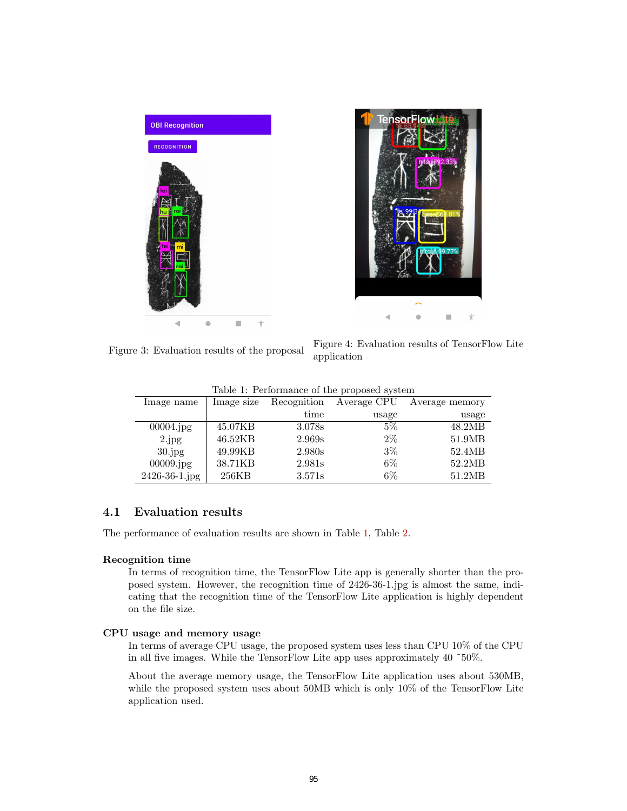

<span id="page-4-0"></span>Figure 3: Evaluation results of the proposal Figure 4: Evaluation results of TensorFlow Lite application

<span id="page-4-2"></span><span id="page-4-1"></span>

| Image name    | Image size | Recognition | Average CPU | Average memory |
|---------------|------------|-------------|-------------|----------------|
|               |            | time        | usage       | usage          |
| 00004.jpg     | 45.07KB    | 3.078s      | $5\%$       | 48.2MB         |
| 2.jpg         | 46.52KB    | 2.969s      | $2\%$       | 51.9MB         |
| $30$ .jpg     | 49.99KB    | 2.980s      | $3\%$       | 52.4MB         |
| 00009.jpg     | 38.71KB    | 2.981s      | $6\%$       | 52.2MB         |
| 2426-36-1.jpg | 256KB      | 3.571s      | $6\%$       | 51.2MB         |

## 4.1 Evaluation results

The performance of evaluation results are shown in Table [1,](#page-4-2) Table [2.](#page-5-0)

### Recognition time

In terms of recognition time, the TensorFlow Lite app is generally shorter than the proposed system. However, the recognition time of 2426-36-1.jpg is almost the same, indicating that the recognition time of the TensorFlow Lite application is highly dependent on the file size.

#### CPU usage and memory usage

In terms of average CPU usage, the proposed system uses less than CPU 10% of the CPU in all five images. While the TensorFlow Lite app uses approximately 40 ˜50%.

About the average memory usage, the TensorFlow Lite application uses about 530MB, while the proposed system uses about 50MB which is only 10% of the TensorFlow Lite application used.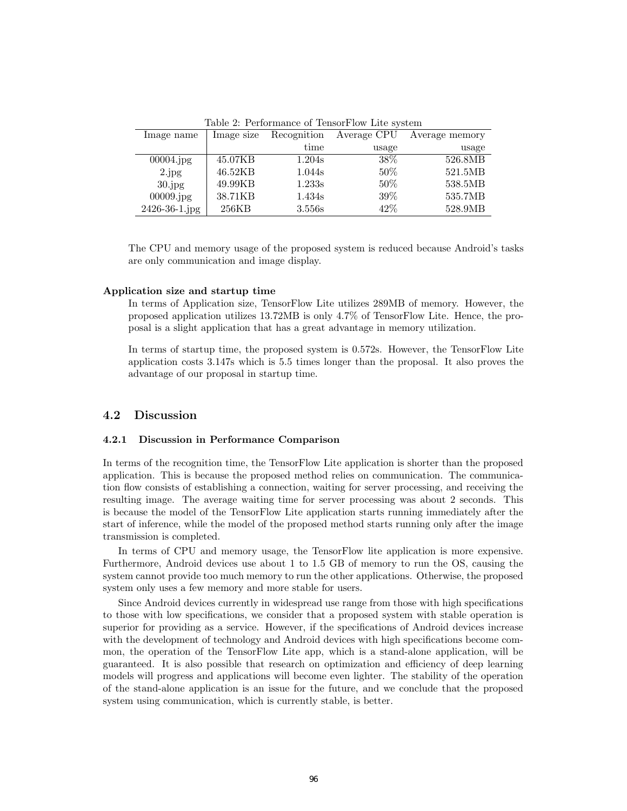<span id="page-5-0"></span>Table 2: Performance of TensorFlow Lite system

| Image name           | Image size | Recognition | Average CPU | Average memory |
|----------------------|------------|-------------|-------------|----------------|
|                      |            | time        | usage       | usage          |
| $00004$ .jpg         | 45.07KB    | 1.204s      | 38\%        | 526.8MB        |
| 2.jpg                | 46.52KB    | 1.044s      | $50\%$      | 521.5MB        |
| $30$ . jpg           | 49.99KB    | 1.233s      | $50\%$      | 538.5MB        |
| 00009.jpg            | 38.71KB    | 1.434s      | $39\%$      | 535.7MB        |
| $2426 - 36 - 1$ .jpg | 256KB      | 3.556s      | 42\%        | 528.9MB        |

The CPU and memory usage of the proposed system is reduced because Android's tasks are only communication and image display.

#### Application size and startup time

In terms of Application size, TensorFlow Lite utilizes 289MB of memory. However, the proposed application utilizes 13.72MB is only 4.7% of TensorFlow Lite. Hence, the proposal is a slight application that has a great advantage in memory utilization.

In terms of startup time, the proposed system is 0.572s. However, the TensorFlow Lite application costs 3.147s which is 5.5 times longer than the proposal. It also proves the advantage of our proposal in startup time.

#### 4.2 Discussion

#### 4.2.1 Discussion in Performance Comparison

In terms of the recognition time, the TensorFlow Lite application is shorter than the proposed application. This is because the proposed method relies on communication. The communication flow consists of establishing a connection, waiting for server processing, and receiving the resulting image. The average waiting time for server processing was about 2 seconds. This is because the model of the TensorFlow Lite application starts running immediately after the start of inference, while the model of the proposed method starts running only after the image transmission is completed.

In terms of CPU and memory usage, the TensorFlow lite application is more expensive. Furthermore, Android devices use about 1 to 1.5 GB of memory to run the OS, causing the system cannot provide too much memory to run the other applications. Otherwise, the proposed system only uses a few memory and more stable for users.

Since Android devices currently in widespread use range from those with high specifications to those with low specifications, we consider that a proposed system with stable operation is superior for providing as a service. However, if the specifications of Android devices increase with the development of technology and Android devices with high specifications become common, the operation of the TensorFlow Lite app, which is a stand-alone application, will be guaranteed. It is also possible that research on optimization and efficiency of deep learning models will progress and applications will become even lighter. The stability of the operation of the stand-alone application is an issue for the future, and we conclude that the proposed system using communication, which is currently stable, is better.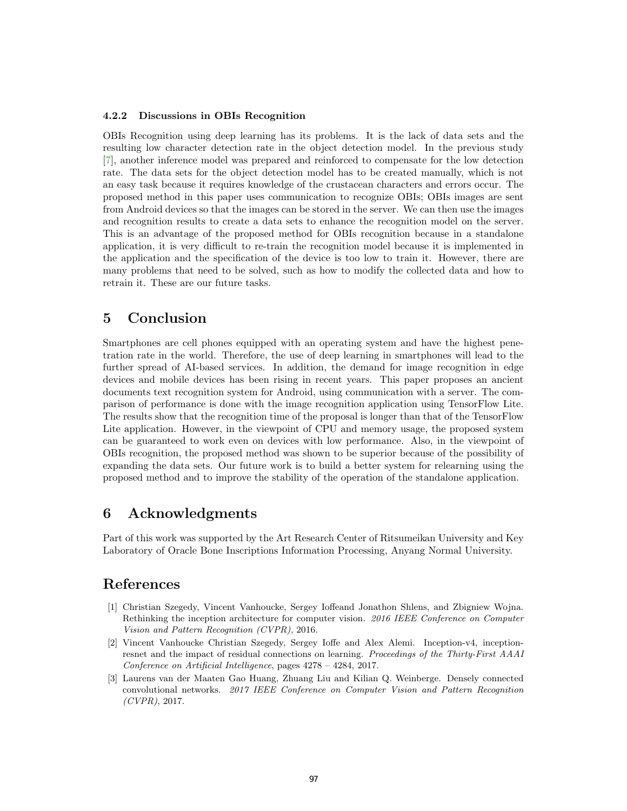#### 4.2.2 Discussions in OBIs Recognition

OBIs Recognition using deep learning has its problems. It is the lack of data sets and the resulting low character detection rate in the object detection model. In the previous study [\[7\]](#page-7-7), another inference model was prepared and reinforced to compensate for the low detection rate. The data sets for the object detection model has to be created manually, which is not an easy task because it requires knowledge of the crustacean characters and errors occur. The proposed method in this paper uses communication to recognize OBIs; OBIs images are sent from Android devices so that the images can be stored in the server. We can then use the images and recognition results to create a data sets to enhance the recognition model on the server. This is an advantage of the proposed method for OBIs recognition because in a standalone application, it is very difficult to re-train the recognition model because it is implemented in the application and the specification of the device is too low to train it. However, there are many problems that need to be solved, such as how to modify the collected data and how to retrain it. These are our future tasks.

# 5 Conclusion

Smartphones are cell phones equipped with an operating system and have the highest penetration rate in the world. Therefore, the use of deep learning in smartphones will lead to the further spread of AI-based services. In addition, the demand for image recognition in edge devices and mobile devices has been rising in recent years. This paper proposes an ancient documents text recognition system for Android, using communication with a server. The comparison of performance is done with the image recognition application using TensorFlow Lite. The results show that the recognition time of the proposal is longer than that of the TensorFlow Lite application. However, in the viewpoint of CPU and memory usage, the proposed system can be guaranteed to work even on devices with low performance. Also, in the viewpoint of OBIs recognition, the proposed method was shown to be superior because of the possibility of expanding the data sets. Our future work is to build a better system for relearning using the proposed method and to improve the stability of the operation of the standalone application.

# 6 Acknowledgments

Part of this work was supported by the Art Research Center of Ritsumeikan University and Key Laboratory of Oracle Bone Inscriptions Information Processing, Anyang Normal University.

# References

- [1] Christian Szegedy, Vincent Vanhoucke, Sergey Ioffeand Jonathon Shlens, and Zbigniew Wojna. Rethinking the inception architecture for computer vision. 2016 IEEE Conference on Computer Vision and Pattern Recognition (CVPR), 2016.
- [2] Vincent Vanhoucke Christian Szegedy, Sergey Ioffe and Alex Alemi. Inception-v4, inceptionresnet and the impact of residual connections on learning. Proceedings of the Thirty-First AAAI Conference on Artificial Intelligence, pages 4278 – 4284, 2017.
- [3] Laurens van der Maaten Gao Huang, Zhuang Liu and Kilian Q. Weinberge. Densely connected convolutional networks. 2017 IEEE Conference on Computer Vision and Pattern Recognition  $(CVPR)$ , 2017.